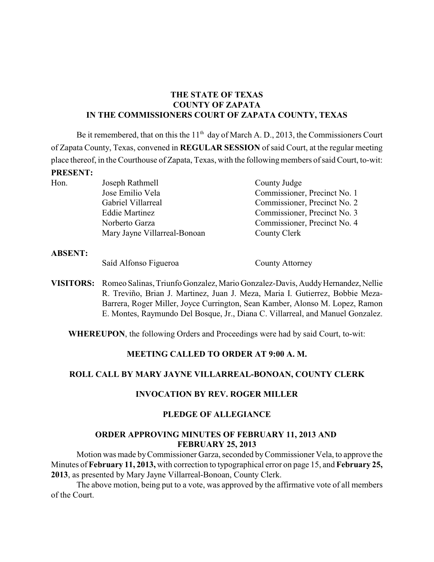## **THE STATE OF TEXAS COUNTY OF ZAPATA IN THE COMMISSIONERS COURT OF ZAPATA COUNTY, TEXAS**

Be it remembered, that on this the  $11<sup>th</sup>$  day of March A. D., 2013, the Commissioners Court of Zapata County, Texas, convened in **REGULAR SESSION** of said Court, at the regular meeting place thereof, in the Courthouse of Zapata, Texas, with the following members of said Court, to-wit: **PRESENT:**

| Hon. | Joseph Rathmell              | County Judge                 |
|------|------------------------------|------------------------------|
|      | Jose Emilio Vela             | Commissioner, Precinct No. 1 |
|      | Gabriel Villarreal           | Commissioner, Precinct No. 2 |
|      | <b>Eddie Martinez</b>        | Commissioner, Precinct No. 3 |
|      | Norberto Garza               | Commissioner, Precinct No. 4 |
|      | Mary Jayne Villarreal-Bonoan | County Clerk                 |
|      |                              |                              |

**ABSENT:**

Saíd Alfonso Figueroa County Attorney

**VISITORS:** Romeo Salinas, Triunfo Gonzalez, Mario Gonzalez-Davis, Auddy Hernandez, Nellie R. Treviño, Brian J. Martinez, Juan J. Meza, Maria I. Gutierrez, Bobbie Meza-Barrera, Roger Miller, Joyce Currington, Sean Kamber, Alonso M. Lopez, Ramon E. Montes, Raymundo Del Bosque, Jr., Diana C. Villarreal, and Manuel Gonzalez.

**WHEREUPON**, the following Orders and Proceedings were had by said Court, to-wit:

## **MEETING CALLED TO ORDER AT 9:00 A. M.**

# **ROLL CALL BY MARY JAYNE VILLARREAL-BONOAN, COUNTY CLERK**

# **INVOCATION BY REV. ROGER MILLER**

## **PLEDGE OF ALLEGIANCE**

#### **ORDER APPROVING MINUTES OF FEBRUARY 11, 2013 AND FEBRUARY 25, 2013**

Motion was made by Commissioner Garza, seconded by Commissioner Vela, to approve the Minutes of **February 11, 2013,** with correction to typographical error on page 15, and **February 25, 2013**, as presented by Mary Jayne Villarreal-Bonoan, County Clerk.

The above motion, being put to a vote, was approved by the affirmative vote of all members of the Court.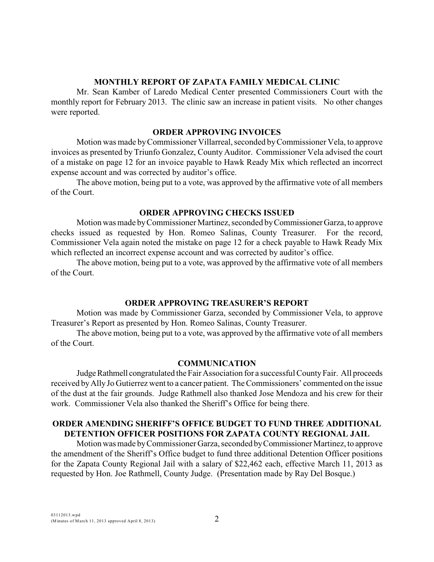### **MONTHLY REPORT OF ZAPATA FAMILY MEDICAL CLINIC**

Mr. Sean Kamber of Laredo Medical Center presented Commissioners Court with the monthly report for February 2013. The clinic saw an increase in patient visits. No other changes were reported.

#### **ORDER APPROVING INVOICES**

Motion was made byCommissioner Villarreal, seconded byCommissioner Vela, to approve invoices as presented by Triunfo Gonzalez, County Auditor. Commissioner Vela advised the court of a mistake on page 12 for an invoice payable to Hawk Ready Mix which reflected an incorrect expense account and was corrected by auditor's office.

The above motion, being put to a vote, was approved by the affirmative vote of all members of the Court.

#### **ORDER APPROVING CHECKS ISSUED**

Motion was made by Commissioner Martinez, seconded by Commissioner Garza, to approve checks issued as requested by Hon. Romeo Salinas, County Treasurer. For the record, Commissioner Vela again noted the mistake on page 12 for a check payable to Hawk Ready Mix which reflected an incorrect expense account and was corrected by auditor's office.

The above motion, being put to a vote, was approved by the affirmative vote of all members of the Court.

#### **ORDER APPROVING TREASURER'S REPORT**

Motion was made by Commissioner Garza, seconded by Commissioner Vela, to approve Treasurer's Report as presented by Hon. Romeo Salinas, County Treasurer.

The above motion, being put to a vote, was approved by the affirmative vote of all members of the Court.

#### **COMMUNICATION**

Judge Rathmell congratulated the Fair Association for a successful County Fair. All proceeds received byAlly Jo Gutierrez went to a cancer patient. The Commissioners' commented on the issue of the dust at the fair grounds. Judge Rathmell also thanked Jose Mendoza and his crew for their work. Commissioner Vela also thanked the Sheriff's Office for being there.

## **ORDER AMENDING SHERIFF'S OFFICE BUDGET TO FUND THREE ADDITIONAL DETENTION OFFICER POSITIONS FOR ZAPATA COUNTY REGIONAL JAIL**

Motion was made by Commissioner Garza, seconded by Commissioner Martinez, to approve the amendment of the Sheriff's Office budget to fund three additional Detention Officer positions for the Zapata County Regional Jail with a salary of \$22,462 each, effective March 11, 2013 as requested by Hon. Joe Rathmell, County Judge. (Presentation made by Ray Del Bosque.)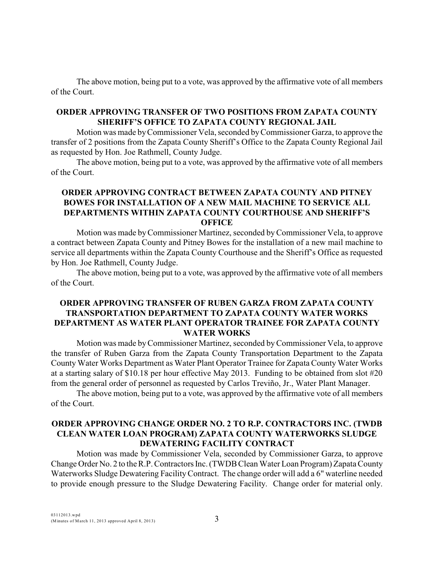The above motion, being put to a vote, was approved by the affirmative vote of all members of the Court.

## **ORDER APPROVING TRANSFER OF TWO POSITIONS FROM ZAPATA COUNTY SHERIFF'S OFFICE TO ZAPATA COUNTY REGIONAL JAIL**

Motion was made by Commissioner Vela, seconded by Commissioner Garza, to approve the transfer of 2 positions from the Zapata County Sheriff's Office to the Zapata County Regional Jail as requested by Hon. Joe Rathmell, County Judge.

The above motion, being put to a vote, was approved by the affirmative vote of all members of the Court.

## **ORDER APPROVING CONTRACT BETWEEN ZAPATA COUNTY AND PITNEY BOWES FOR INSTALLATION OF A NEW MAIL MACHINE TO SERVICE ALL DEPARTMENTS WITHIN ZAPATA COUNTY COURTHOUSE AND SHERIFF'S OFFICE**

Motion was made by Commissioner Martinez, seconded byCommissioner Vela, to approve a contract between Zapata County and Pitney Bowes for the installation of a new mail machine to service all departments within the Zapata County Courthouse and the Sheriff's Office as requested by Hon. Joe Rathmell, County Judge.

The above motion, being put to a vote, was approved by the affirmative vote of all members of the Court.

## **ORDER APPROVING TRANSFER OF RUBEN GARZA FROM ZAPATA COUNTY TRANSPORTATION DEPARTMENT TO ZAPATA COUNTY WATER WORKS DEPARTMENT AS WATER PLANT OPERATOR TRAINEE FOR ZAPATA COUNTY WATER WORKS**

Motion was made by Commissioner Martinez, seconded byCommissioner Vela, to approve the transfer of Ruben Garza from the Zapata County Transportation Department to the Zapata County Water Works Department as Water Plant Operator Trainee for Zapata County Water Works at a starting salary of \$10.18 per hour effective May 2013. Funding to be obtained from slot #20 from the general order of personnel as requested by Carlos Treviño, Jr., Water Plant Manager.

The above motion, being put to a vote, was approved by the affirmative vote of all members of the Court.

#### **ORDER APPROVING CHANGE ORDER NO. 2 TO R.P. CONTRACTORS INC. (TWDB CLEAN WATER LOAN PROGRAM) ZAPATA COUNTY WATERWORKS SLUDGE DEWATERING FACILITY CONTRACT**

Motion was made by Commissioner Vela, seconded by Commissioner Garza, to approve Change Order No. 2 to theR.P.Contractors Inc. (TWDBClean Water Loan Program) Zapata County Waterworks Sludge Dewatering Facility Contract. The change order will add a 6" waterline needed to provide enough pressure to the Sludge Dewatering Facility. Change order for material only.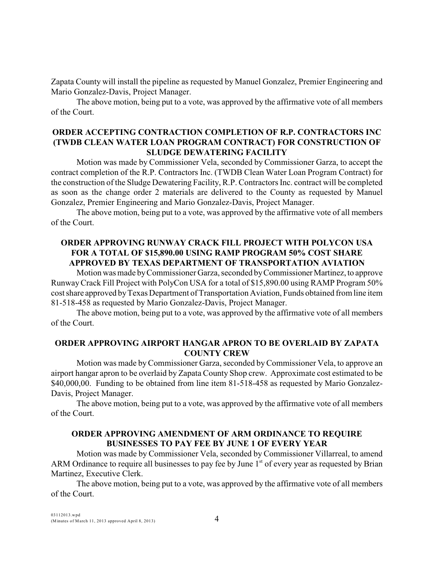Zapata County will install the pipeline as requested by Manuel Gonzalez, Premier Engineering and Mario Gonzalez-Davis, Project Manager.

The above motion, being put to a vote, was approved by the affirmative vote of all members of the Court.

## **ORDER ACCEPTING CONTRACTION COMPLETION OF R.P. CONTRACTORS INC (TWDB CLEAN WATER LOAN PROGRAM CONTRACT) FOR CONSTRUCTION OF SLUDGE DEWATERING FACILITY**

Motion was made by Commissioner Vela, seconded by Commissioner Garza, to accept the contract completion of the R.P. Contractors Inc. (TWDB Clean Water Loan Program Contract) for the construction of the Sludge Dewatering Facility, R.P. Contractors Inc. contract will be completed as soon as the change order 2 materials are delivered to the County as requested by Manuel Gonzalez, Premier Engineering and Mario Gonzalez-Davis, Project Manager.

The above motion, being put to a vote, was approved by the affirmative vote of all members of the Court.

## **ORDER APPROVING RUNWAY CRACK FILL PROJECT WITH POLYCON USA FOR A TOTAL OF \$15,890.00 USING RAMP PROGRAM 50% COST SHARE APPROVED BY TEXAS DEPARTMENT OF TRANSPORTATION AVIATION**

Motion was made by Commissioner Garza, seconded by Commissioner Martinez, to approve Runway Crack Fill Project with PolyCon USA for a total of \$15,890.00 using RAMP Program 50% cost share approved by Texas Department of Transportation Aviation, Funds obtained from line item 81-518-458 as requested by Mario Gonzalez-Davis, Project Manager.

The above motion, being put to a vote, was approved by the affirmative vote of all members of the Court.

## **ORDER APPROVING AIRPORT HANGAR APRON TO BE OVERLAID BY ZAPATA COUNTY CREW**

Motion was made byCommissioner Garza, seconded byCommissioner Vela, to approve an airport hangar apron to be overlaid by Zapata County Shop crew. Approximate cost estimated to be \$40,000,00. Funding to be obtained from line item 81-518-458 as requested by Mario Gonzalez-Davis, Project Manager.

The above motion, being put to a vote, was approved by the affirmative vote of all members of the Court.

#### **ORDER APPROVING AMENDMENT OF ARM ORDINANCE TO REQUIRE BUSINESSES TO PAY FEE BY JUNE 1 OF EVERY YEAR**

Motion was made by Commissioner Vela, seconded by Commissioner Villarreal, to amend ARM Ordinance to require all businesses to pay fee by June  $1<sup>st</sup>$  of every year as requested by Brian Martinez, Executive Clerk.

The above motion, being put to a vote, was approved by the affirmative vote of all members of the Court.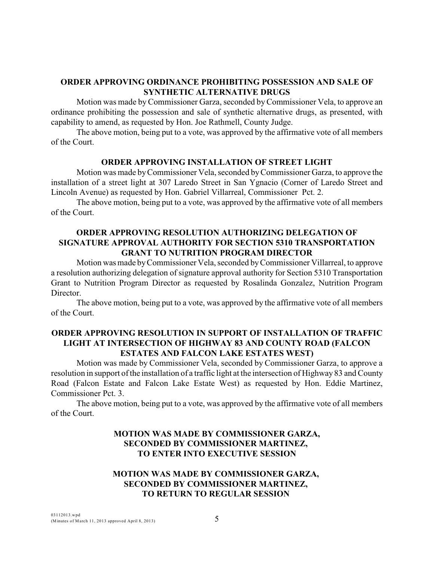### **ORDER APPROVING ORDINANCE PROHIBITING POSSESSION AND SALE OF SYNTHETIC ALTERNATIVE DRUGS**

Motion was made by Commissioner Garza, seconded by Commissioner Vela, to approve an ordinance prohibiting the possession and sale of synthetic alternative drugs, as presented, with capability to amend, as requested by Hon. Joe Rathmell, County Judge.

The above motion, being put to a vote, was approved by the affirmative vote of all members of the Court.

#### **ORDER APPROVING INSTALLATION OF STREET LIGHT**

Motion was made by Commissioner Vela, seconded by Commissioner Garza, to approve the installation of a street light at 307 Laredo Street in San Ygnacio (Corner of Laredo Street and Lincoln Avenue) as requested by Hon. Gabriel Villarreal, Commissioner Pct. 2.

The above motion, being put to a vote, was approved by the affirmative vote of all members of the Court.

## **ORDER APPROVING RESOLUTION AUTHORIZING DELEGATION OF SIGNATURE APPROVAL AUTHORITY FOR SECTION 5310 TRANSPORTATION GRANT TO NUTRITION PROGRAM DIRECTOR**

Motion was made byCommissioner Vela, seconded by Commissioner Villarreal, to approve a resolution authorizing delegation of signature approval authority for Section 5310 Transportation Grant to Nutrition Program Director as requested by Rosalinda Gonzalez, Nutrition Program Director.

The above motion, being put to a vote, was approved by the affirmative vote of all members of the Court.

## **ORDER APPROVING RESOLUTION IN SUPPORT OF INSTALLATION OF TRAFFIC LIGHT AT INTERSECTION OF HIGHWAY 83 AND COUNTY ROAD (FALCON ESTATES AND FALCON LAKE ESTATES WEST)**

Motion was made by Commissioner Vela, seconded by Commissioner Garza, to approve a resolution in support ofthe installation of a traffic light at the intersection of Highway 83 and County Road (Falcon Estate and Falcon Lake Estate West) as requested by Hon. Eddie Martinez, Commissioner Pct. 3.

The above motion, being put to a vote, was approved by the affirmative vote of all members of the Court.

# **MOTION WAS MADE BY COMMISSIONER GARZA, SECONDED BY COMMISSIONER MARTINEZ, TO ENTER INTO EXECUTIVE SESSION**

## **MOTION WAS MADE BY COMMISSIONER GARZA, SECONDED BY COMMISSIONER MARTINEZ, TO RETURN TO REGULAR SESSION**